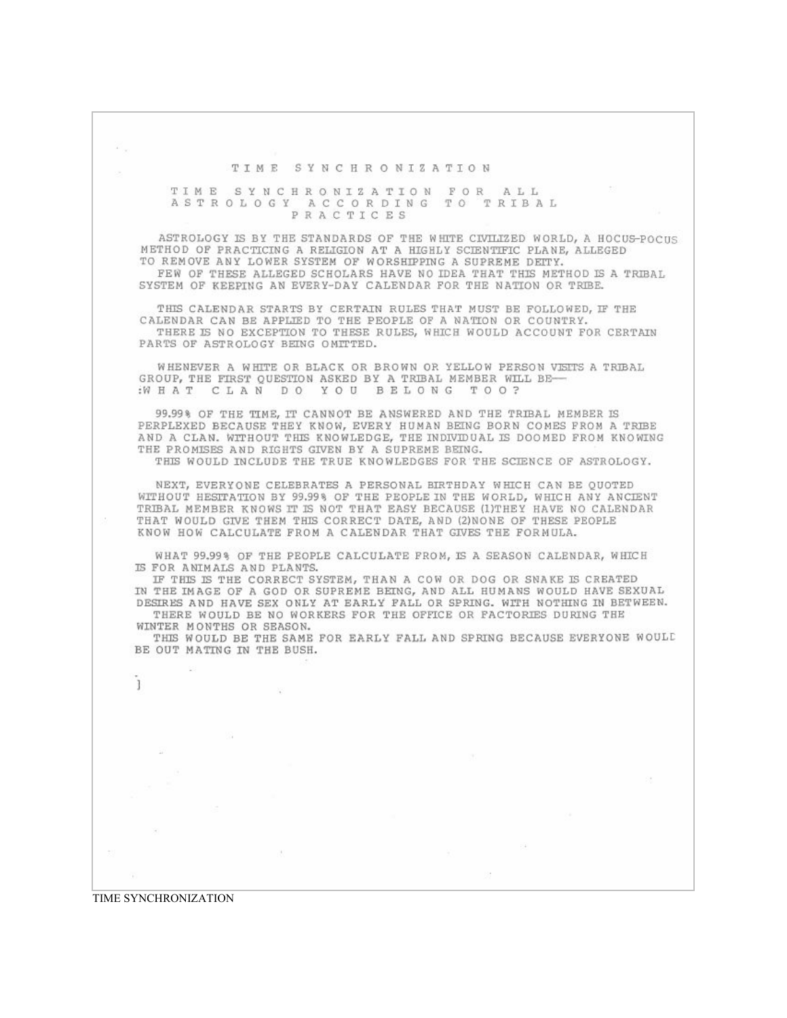26, TIME SYNCHRONIZATION TIME SYNCHRONIZATION FOR ALL<br>ASTROLOGY ACCORDING TO TRIBAL PRACTICES ASTROLOGY IS BY THE STANDARDS OF THE WHITE CIVILIZED WORLD, A HOCUS-POCUS METHOD OF PRACTICING A RELIGION AT A HIGHLY SCIENTIFIC PLANE, ALLEGED TO REMOVE ANY LOWER SYSTEM OF WORSHIPPING A SUPREME DETTY. FEW OF THESE ALLEGED SCHOLARS HAVE NO IDEA THAT THIS METHOD IS A TRIBAL SYSTEM OF KEEPING AN EVERY-DAY CALENDAR FOR THE NATION OR TRIBE. THIS CALENDAR STARTS BY CERTAIN RULES THAT MUST BE FOLLOWED, IF THE CALENDAR CAN BE APPLIED TO THE PEOPLE OF A NATION OR COUNTRY. THERE IS NO EXCEPTION TO THESE RULES, WHICH WOULD ACCOUNT FOR CERTAIN PARTS OF ASTROLOGY BEING OMITTED. WHENEVER A WHITE OR BLACK OR BROWN OR YELLOW PERSON VISITS A TRIBAL GROUP, THE FIRST QUESTION ASKED BY A TRIBAL MEMBER WILL BE-:WHAT CLAN DO YOU BELONG TOO? 99.99% OF THE TIME, IT CANNOT BE ANSWERED AND THE TRIBAL MEMBER IS PERPLEXED BECAUSE THEY KNOW, EVERY HUMAN BEING BORN COMES FROM A TRIBE AND A CLAN. WITHOUT THIS KNOWLEDGE, THE INDIVIDUAL IS DOOMED FROM KNOWING THE PROMISES AND RIGHTS GIVEN BY A SUPREME BEING. THIS WOULD INCLUDE THE TRUE KNOWLEDGES FOR THE SCIENCE OF ASTROLOGY. NEXT, EVERYONE CELEBRATES A PERSONAL BIRTHDAY WHICH CAN BE QUOTED WITHOUT HESTRATION BY 99.99% OF THE PEOPLE IN THE WORLD, WHICH ANY ANCIENT TRIBAL MEMBER KNOWS IT IS NOT THAT EASY BECAUSE (1)THEY HAVE NO CALENDAR THAT WOULD GIVE THEM THIS CORRECT DATE, AND (2)NONE OF THESE PEOPLE KNOW HOW CALCULATE FROM A CALENDAR THAT GIVES THE FORMULA. WHAT 99.99% OF THE PEOPLE CALCULATE FROM, IS A SEASON CALENDAR, WHICH IS FOR ANIMALS AND PLANTS. IF THIS IS THE CORRECT SYSTEM, THAN A COW OR DOG OR SNAKE IS CREATED IN THE IMAGE OF A GOD OR SUPREME BEING, AND ALL HUMANS WOULD HAVE SEXUAL DESIRES AND HAVE SEX ONLY AT EARLY FALL OR SPRING. WITH NOTHING IN BETWEEN. THERE WOULD BE NO WORKERS FOR THE OFFICE OR FACTORIES DURING THE WINTER MONTHS OR SEASON. THIS WOULD BE THE SAME FOR EARLY FALL AND SPRING BECAUSE EVERYONE WOULD BE OUT MATING IN THE BUSH. Ţ FOR.

TIME SYNCHRONIZATION